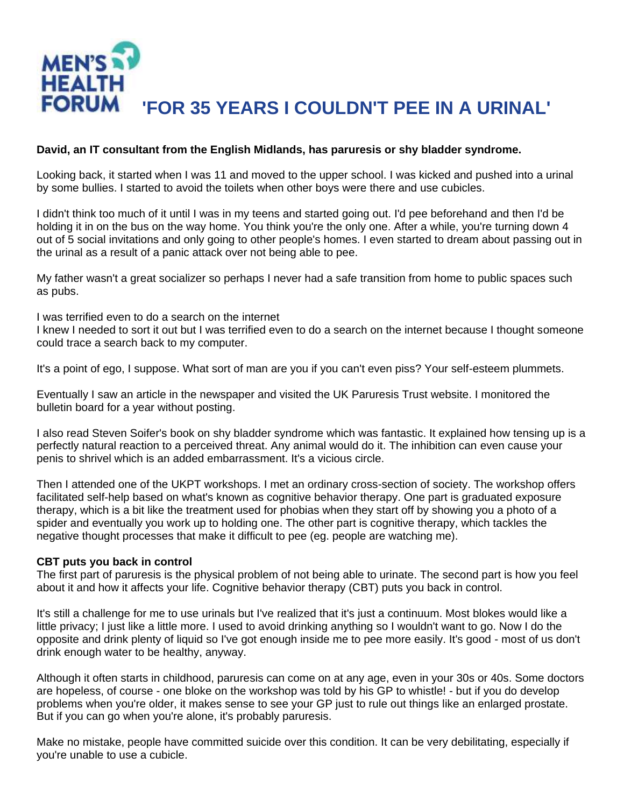

## **David, an IT consultant from the English Midlands, has paruresis or shy bladder syndrome.**

Looking back, it started when I was 11 and moved to the upper school. I was kicked and pushed into a urinal by some bullies. I started to avoid the toilets when other boys were there and use cubicles.

I didn't think too much of it until I was in my teens and started going out. I'd pee beforehand and then I'd be holding it in on the bus on the way home. You think you're the only one. After a while, you're turning down 4 out of 5 social invitations and only going to other people's homes. I even started to dream about passing out in the urinal as a result of a panic attack over not being able to pee.

My father wasn't a great socializer so perhaps I never had a safe transition from home to public spaces such as pubs.

I was terrified even to do a search on the internet

I knew I needed to sort it out but I was terrified even to do a search on the internet because I thought someone could trace a search back to my computer.

It's a point of ego, I suppose. What sort of man are you if you can't even piss? Your self-esteem plummets.

Eventually I saw an article in the newspaper and visited the UK Paruresis Trust website. I monitored the bulletin board for a year without posting.

I also read Steven Soifer's book on shy bladder syndrome which was fantastic. It explained how tensing up is a perfectly natural reaction to a perceived threat. Any animal would do it. The inhibition can even cause your penis to shrivel which is an added embarrassment. It's a vicious circle.

Then I attended one of the UKPT workshops. I met an ordinary cross-section of society. The workshop offers facilitated self-help based on what's known as cognitive behavior therapy. One part is graduated exposure therapy, which is a bit like the treatment used for phobias when they start off by showing you a photo of a spider and eventually you work up to holding one. The other part is cognitive therapy, which tackles the negative thought processes that make it difficult to pee (eg. people are watching me).

## **CBT puts you back in control**

The first part of paruresis is the physical problem of not being able to urinate. The second part is how you feel about it and how it affects your life. Cognitive behavior therapy (CBT) puts you back in control.

It's still a challenge for me to use urinals but I've realized that it's just a continuum. Most blokes would like a little privacy; I just like a little more. I used to avoid drinking anything so I wouldn't want to go. Now I do the opposite and drink plenty of liquid so I've got enough inside me to pee more easily. It's good - most of us don't drink enough water to be healthy, anyway.

Although it often starts in childhood, paruresis can come on at any age, even in your 30s or 40s. Some doctors are hopeless, of course - one bloke on the workshop was told by his GP to whistle! - but if you do develop problems when you're older, it makes sense to see your GP just to rule out things like an enlarged prostate. But if you can go when you're alone, it's probably paruresis.

Make no mistake, people have committed suicide over this condition. It can be very debilitating, especially if you're unable to use a cubicle.